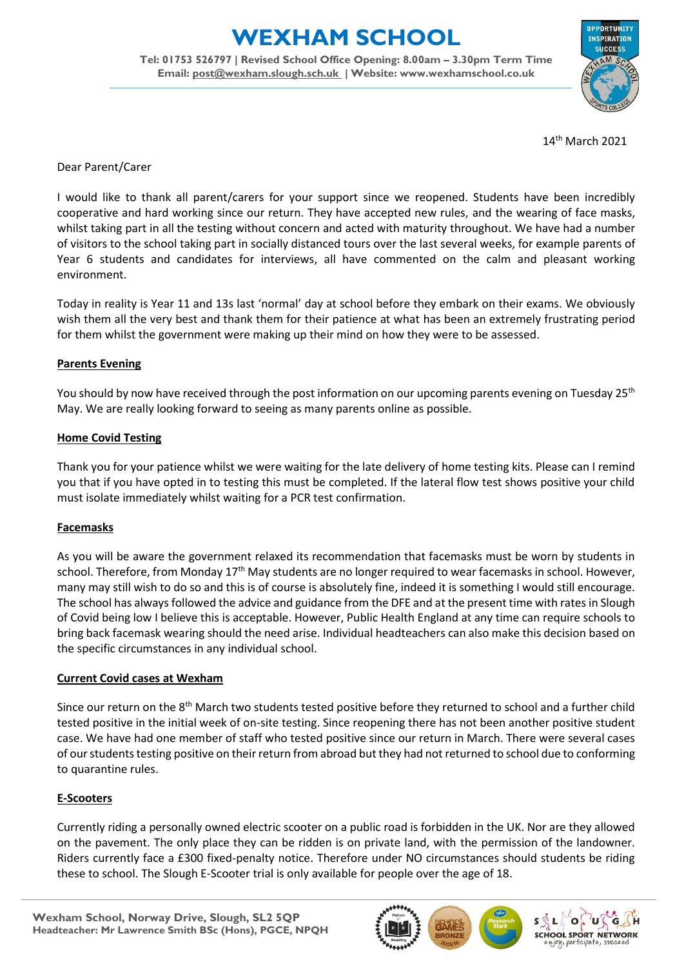# **EXHAM SCHOOL**

**Tel: 01753 526797 | Revised School Office Opening: 8.00am – 3.30pm Term Time Email: [post@wexham.slough.sch.uk](mailto:post@wexham.slough.sch.uk) | Website: www.wexhamschool.co.uk**



14 th March 2021

Dear Parent/Carer

I would like to thank all parent/carers for your support since we reopened. Students have been incredibly cooperative and hard working since our return. They have accepted new rules, and the wearing of face masks, whilst taking part in all the testing without concern and acted with maturity throughout. We have had a number of visitors to the school taking part in socially distanced tours over the last several weeks, for example parents of Year 6 students and candidates for interviews, all have commented on the calm and pleasant working environment.

Today in reality is Year 11 and 13s last 'normal' day at school before they embark on their exams. We obviously wish them all the very best and thank them for their patience at what has been an extremely frustrating period for them whilst the government were making up their mind on how they were to be assessed.

#### **Parents Evening**

You should by now have received through the post information on our upcoming parents evening on Tuesday 25<sup>th</sup> May. We are really looking forward to seeing as many parents online as possible.

### **Home Covid Testing**

Thank you for your patience whilst we were waiting for the late delivery of home testing kits. Please can I remind you that if you have opted in to testing this must be completed. If the lateral flow test shows positive your child must isolate immediately whilst waiting for a PCR test confirmation.

## **Facemasks**

As you will be aware the government relaxed its recommendation that facemasks must be worn by students in school. Therefore, from Monday 17<sup>th</sup> May students are no longer required to wear facemasks in school. However, many may still wish to do so and this is of course is absolutely fine, indeed it is something I would still encourage. The school has always followed the advice and guidance from the DFE and at the present time with rates in Slough of Covid being low I believe this is acceptable. However, Public Health England at any time can require schools to bring back facemask wearing should the need arise. Individual headteachers can also make this decision based on the specific circumstances in any individual school.

#### **Current Covid cases at Wexham**

Since our return on the 8<sup>th</sup> March two students tested positive before they returned to school and a further child tested positive in the initial week of on-site testing. Since reopening there has not been another positive student case. We have had one member of staff who tested positive since our return in March. There were several cases of our students testing positive on their return from abroad but they had not returned to school due to conforming to quarantine rules.

## **E-Scooters**

Currently riding a personally owned electric scooter on a public road is forbidden in the UK. Nor are they allowed on the pavement. The only place they can be ridden is on private land, with the permission of the landowner. Riders currently face a £300 fixed-penalty notice. Therefore under NO circumstances should students be riding these to school. The Slough E-Scooter trial is only available for people over the age of 18.